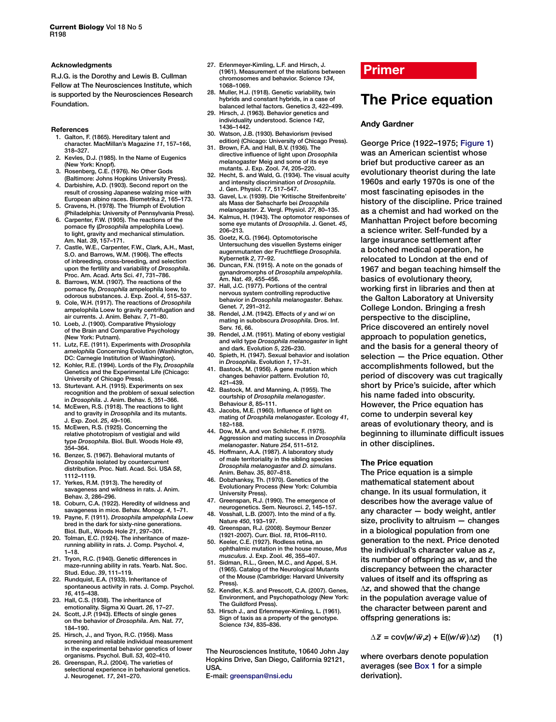#### **Acknowledgments**

R.J.G. is the Dorothy and Lewis B. Cullman Fellow at The Neurosciences Institute, which is supported by the Neurosciences Research Foundation.

#### **References**

- 1. Galton, F. (1865). Hereditary talent and character. MacMillan's Magazine *11*, 157–166, 318–327.
- 2. Kevles, D.J. (1985). In the Name of Eugenics (New York: Knopf).
- 3. Rosenberg, C.E. (1976). No Other Gods (Baltimore: Johns Hopkins University Press).
- 4. Darbishire, A.D. (1903). Second report on the result of crossing Japanese walzing mice with European albino races. Biometrika *2*, 165–173. 5. Cravens, H. (1978). The Triumph of Evolution
- (Philadelphia: University of Pennsylvania Press). 6. Carpenter, F.W. (1905). The reactions of the
- pomace fly (*Drosophila* ampelophila Loew). to light, gravity and mechanical stimulation. Am. Nat. *39*, 157–171. 7. Castle, W.E., Carpenter, F.W., Clark, A.H., Mast,
- S.O. and Barrows, W.M. (1906). The effects of inbreeding, cross-breeding, and selection upon the fertility and variability of *Drosophila*. Proc. Am. Acad. Arts Sci. *41*, 731–786.
- 8. Barrows, W.M. (1907). The reactions of the pomace fly, *Drosophila* ampelophila loew, to odorous substances. J. Exp. Zool. *4*, 515–537.
- 9. Cole, W.H. (1917). The reactions of *Drosophila* ampelophila Loew to gravity centrifugation and air currents. J. Anim. Behav. *7*, 71–80.
- 10. Loeb, J. (1900). Comparative Physiology of the Brain and Comparative Psychology (New York: Putnam).
- 11. Lutz, F.E. (1911). Experiments with *Drosophila amelophila* Concerning Evolution (Washington, DC: Carnegie Institution of Washington).
- 12. Kohler, R.E. (1994). Lords of the Fly, *Drosophila* Genetics and the Experimental Life (Chicago: University of Chicago Press).
- 13. Sturtevant. A.H. (1915). Experiments on sex recognition and the problem of sexual selection in *Drosophila*. J. Anim. Behav. *5*, 351–366.
- 14. McEwen, R.S. (1918). The reactions to light and to gravity in *Drosophila* and its mutants. J. Exp. Zool. *25*, 49–106.
- 15. McEwen, R.S. (1925). Concerning the relative phototropism of vestigial and wild type *Drosophila*. Biol. Bull. Woods Hole *49*, 354–364.
- 16. Benzer, S. (1967). Behavioral mutants of *Drosophila* isolated by countercurrent distribution. Proc. Natl. Acad. Sci. USA *58*, 1112–1119.
- 17. Yerkes, R.M. (1913). The heredity of savageness and wildness in rats. J. Anim. Behav. *3*, 286–296.
- 18. Coburn, C.A. (1922). Heredity of wildness and savageness in mice. Behav. Monogr. *4*, 1–71.
- 19. Payne, F. (1911). *Drosophila ampelophila Loew* bred in the dark for sixty-nine generations. Biol. Bull., Woods Hole *21*, 297–301.
- 20. Tolman, E.C. (1924). The inheritance of mazerunning abiliity in rats. J. Comp. Psychol. *4*, 1–18.
- 21. Tryon, R.C. (1940). Genetic differences in maze-running ability in rats. Yearb. Nat. Soc. Stud. Educ. *39*, 111–119.
- 22. Rundquist, E.A. (1933). Inheritance of spontaneous activity in rats. J. Comp. Psychol. *16*, 415–438.
- 23. Hall, C.S. (1938). The inheritance of emotionality. Sigma Xi Quart. *26*, 17–27.
- 24. Scott, J.P. (1943). Effects of single genes on the behavior of *Drosophila*. Am. Nat. *77*, 184–190.
- 25. Hirsch, J., and Tryon, R.C. (1956). Mass screening and reliable individual measurement in the experimental behavior genetics of lower organisms. Psychol. Bull. *53*, 402–410.
- 26. Greenspan, R.J. (2004). The varieties of selectional experience in behavioral genetics. J. Neurogenet. *17*, 241–270.
- 27. Erlenmeyer-Kimling, L.F. and Hirsch, J. (1961). Measurement of the relations between chromosomes and behavior. Science *134*, 1068–1069.
- 28. Muller, H.J. (1918). Genetic variability, twin hybrids and constant hybrids, in a case of balanced lethal factors. Genetics *3*, 422–499.
- 29. Hirsch, J. (1963). Behavior genetics and individuality understood. Science *142*, 1436–1442.
- 30. Watson, J.B. (1930). Behaviorism (revised edition) (Chicago: University of Chicago Press).
- 31. Brown, F.A. and Hall, B.V. (1936). The directive influence of light upon *Drosophila melanogaster* Meig and some of its eye mutants. J. Exp. Zool. *74*, 205–220.
- 32. Hecht, S. and Wald, G. (1934). The visual acuity and intensity discrimination of *Drosophila*. J. Gen. Physiol. *17*, 517–547.
- 33. Gavel, L.v. (1939). Die 'Kritische Streifenbreite' als Mass der Sehscharfe bei *Drosophila melanogaster*. Z. Vergl. Physiol. *27*, 80–135.
- 34. Kalmus, H. (1943). The optomotor responses of some eye mutants of *Drosophila*. J. Genet. *45*, 206–213.
- 35. Goetz, K.G. (1964). Optomotorische Untersuchung des visuellen Systems einiger augenmutanten der Fruchtfliege *Drosophila*. Kybernetik *2*, 77–92.
- 36. Duncan, F.N. (1915). A note on the gonads of gynandromorphs of *Drosophila ampelophila*. Am. Nat. *49*, 455–456.
- 37. Hall, J.C. (1977). Portions of the central nervous system controlling reproductive behavior in *Drosophila melanogaster*. Behav. Genet*. 7*, 291–312.
- 38. Rendel, J.M. (1942). Effects of *y* and *wi* on mating in subobscura *Drosophila*. Dros. Inf. Serv. *16*, 66.
- 39. Rendel, J.M. (1951). Mating of ebony vestigial and wild type *Drosophila melanogaster* in light and dark. Evolution *5*, 226–230.
- 40. Spieth, H. (1947). Sexual behavior and isolation in *Drosophila*. Evolution *1*, 17–31.
- 41. Bastock, M. (1956). A gene mutation which changes behavior pattern. Evolution *10*, 421–439.
- 42. Bastock, M. and Manning, A. (1955). The courtship of *Drosophila melanogaster*. Behaviour *8*, 85–111.
- 43. Jacobs, M.E. (1960). Influence of light on mating of *Drosphila melanogaster*. Ecology *41*, 182–188.
- 44. Dow, M.A. and von Schilcher, F. (1975). Aggression and mating success in *Drosophila melanogaster*. Nature *254*, 511–512.
- 45. Hoffmann, A.A. (1987). A laboratory study of male territoriality in the sibling species *Drosophila melanogaster* and *D. simulans*. Anim. Behav. *35*, 807–818.
- 46. Dobzhanksy, Th. (1970). Genetics of the Evolutionary Process (New York: Columbia University Press).
- 47. Greenspan, R.J. (1990). The emergence of neurogenetics. Sem. Neurosci. *2*, 145–157.
- 48. Vosshall, L.B. (2007). Into the mind of a fly. Nature *450*, 193–197.
- 49. Greenspan, R.J. (2008). Seymour Benzer (1921-2007). Curr. Biol. *18*, R106–R110.
- 50. Keeler, C.E. (1927). Rodless retina, an ophthalmic mutation in the house mouse, *Mus musculus*. J. Exp. Zool. *46*, 355–407.
- 51. Sidman, R.L., Green, M.C., and Appel, S.H. (1965). Catalog of the Neurological Mutants of the Mouse (Cambridge: Harvard University Press).
- 52. Kendler, K.S. and Prescott, C.A. (2007). Genes, Environment, and Psychopathology (New York: The Guildford Press).
- 53. Hirsch J., and Erlenmeyer-Kimling, L. (1961). Sign of taxis as a property of the genotype. Science *134*, 835–836.

The Neurosciences Institute, 10640 John Jay Hopkins Drive, San Diego, California 92121, USA.

E-mail: greenspan@nsi.edu

## **Primer**

# **The Price equation**

#### **Andy Gardner**

George Price (1922–1975; [Figure 1\)](#page-1-0)  was an American scientist whose brief but productive career as an evolutionary theorist during the late 1960s and early 1970s is one of the most fascinating episodes in the history of the discipline. Price trained as a chemist and had worked on the Manhattan Project before becoming a science writer. Self-funded by a large insurance settlement after a botched medical operation, he relocated to London at the end of 1967 and began teaching himself the basics of evolutionary theory, working first in libraries and then at the Galton Laboratory at University College London. Bringing a fresh perspective to the discipline, Price discovered an entirely novel approach to population genetics, and the basis for a general theory of selection — the Price equation. Other accomplishments followed, but the period of discovery was cut tragically short by Price's suicide, after which his name faded into obscurity. However, the Price equation has come to underpin several key areas of evolutionary theory, and is beginning to illuminate difficult issues in other disciplines.

#### **The Price equation**

The Price equation is a simple mathematical statement about change. In its usual formulation, it describes how the average value of any character — body weight, antler size, proclivity to altruism — changes in a biological population from one generation to the next. Price denoted the individual's character value as *z*, its number of offspring as *w*, and the discrepancy between the character values of itself and its offspring as **∆***z*, and showed that the change in the population average value of the character between parent and offspring generations is:

$$
\Delta \bar{z} = \text{cov}(w/\bar{w}, z) + \mathsf{E}((w/\bar{w})\Delta z)
$$
 (1)

where overbars denote population averages (se[e Box 1](#page-2-0) for a simple derivation).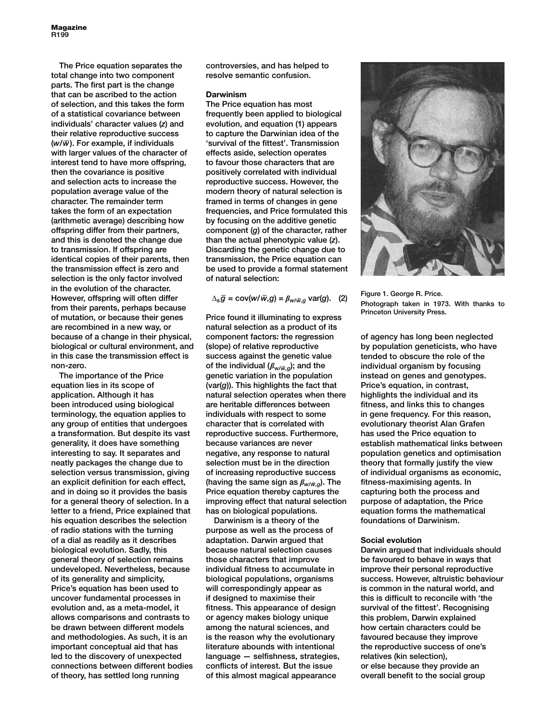<span id="page-1-0"></span>The Price equation separates the total change into two component parts. The first part is the change that can be ascribed to the action of selection, and this takes the form of a statistical covariance between individuals' character values (*z*) and their relative reproductive success (*w/w*). For example, if individuals with larger values of the character of interest tend to have more offspring, then the covariance is positive and selection acts to increase the population average value of the character. The remainder term takes the form of an expectation (arithmetic average) describing how offspring differ from their partners, and this is denoted the change due to transmission. If offspring are identical copies of their parents, then the transmission effect is zero and selection is the only factor involved in the evolution of the character. However, offspring will often differ from their parents, perhaps because of mutation, or because their genes are recombined in a new way, or because of a change in their physical, biological or cultural environment, and in this case the transmission effect is non-zero.

The importance of the Price equation lies in its scope of application. Although it has been introduced using biological terminology, the equation applies to any group of entities that undergoes a transformation. But despite its vast generality, it does have something interesting to say. It separates and neatly packages the change due to selection versus transmission, giving an explicit definition for each effect, and in doing so it provides the basis for a general theory of selection. In a letter to a friend, Price explained that his equation describes the selection of radio stations with the turning of a dial as readily as it describes biological evolution. Sadly, this general theory of selection remains undeveloped. Nevertheless, because of its generality and simplicity, Price's equation has been used to uncover fundamental processes in evolution and, as a meta-model, it allows comparisons and contrasts to be drawn between different models and methodologies. As such, it is an important conceptual aid that has led to the discovery of unexpected connections between different bodies of theory, has settled long running

controversies, and has helped to resolve semantic confusion.

## **Darwinism**

The Price equation has most frequently been applied to biological evolution, and equation (1) appears to capture the Darwinian idea of the 'survival of the fittest'. Transmission effects aside, selection operates to favour those characters that are positively correlated with individual reproductive success. However, the modern theory of natural selection is framed in terms of changes in gene frequencies, and Price formulated this by focusing on the additive genetic component (*g*) of the character, rather than the actual phenotypic value (*z*). Discarding the genetic change due to transmission, the Price equation can be used to provide a formal statement of natural selection:

 $\Delta_{\rm s}\bar{g}$  = cov(*w*/ $\bar{w}, g$ ) =  $\beta_{w/\bar{w},g}$  var(*g*). (2)

Price found it illuminating to express natural selection as a product of its component factors: the regression (slope) of relative reproductive success against the genetic value of the individual ( $β_{w/w,q}$ ); and the genetic variation in the population (var(*g*)). This highlights the fact that natural selection operates when there are heritable differences between individuals with respect to some character that is correlated with reproductive success. Furthermore, because variances are never negative, any response to natural selection must be in the direction of increasing reproductive success (having the same sign as *βw/w,g*). The Price equation thereby captures the improving effect that natural selection has on biological populations.

Darwinism is a theory of the purpose as well as the process of adaptation. Darwin argued that because natural selection causes those characters that improve individual fitness to accumulate in biological populations, organisms will correspondingly appear as if designed to maximise their fitness. This appearance of design or agency makes biology unique among the natural sciences, and is the reason why the evolutionary literature abounds with intentional language — selfishness, strategies, conflicts of interest. But the issue of this almost magical appearance



Figure 1. George R. Price. Photograph taken in 1973. With thanks to Princeton University Press.

of agency has long been neglected by population geneticists, who have tended to obscure the role of the individual organism by focusing instead on genes and genotypes. Price's equation, in contrast, highlights the individual and its fitness, and links this to changes in gene frequency. For this reason, evolutionary theorist Alan Grafen has used the Price equation to establish mathematical links between population genetics and optimisation theory that formally justify the view of individual organisms as economic, fitness-maximising agents. In capturing both the process and purpose of adaptation, the Price equation forms the mathematical foundations of Darwinism.

## **Social evolution**

Darwin argued that individuals should be favoured to behave in ways that improve their personal reproductive success. However, altruistic behaviour is common in the natural world, and this is difficult to reconcile with 'the survival of the fittest'. Recognising this problem, Darwin explained how certain characters could be favoured because they improve the reproductive success of one's relatives (kin selection), or else because they provide an overall benefit to the social group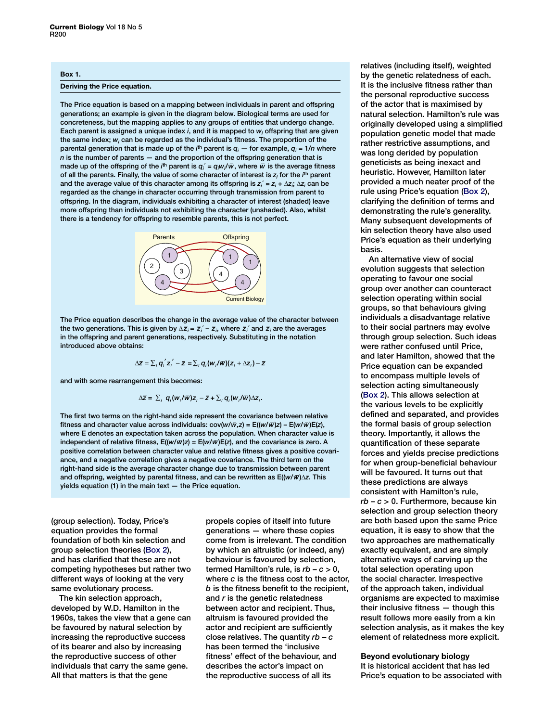## <span id="page-2-0"></span>**Box 1. Deriving the Price equation.**

The Price equation is based on a mapping between individuals in parent and offspring generations; an example is given in the diagram below. Biological terms are used for concreteness, but the mapping applies to any groups of entities that undergo change. Each parent is assigned a unique index *i*, and it is mapped to  $w_i$  offspring that are given the same index;  $w_i$  can be regarded as the individual's fitness. The proportion of the parental generation that is made up of the  $i<sup>th</sup>$  parent is  $q_i$  – for example,  $q_i$  = 1/n where *n* is the number of parents — and the proportion of the offspring generation that is made up of the offspring of the *i*<sup>th</sup> parent is  $q_i = q_i w_i / \bar{w}$ , where  $\bar{w}$  is the average fitness of all the parents. Finally, the value of some character of interest is  $z_i$  for the *i*<sup>th</sup> parent and the average value of this character among its offspring is  $z_i = z_i + \Delta z_i$ ;  $\Delta z_i$  can be regarded as the change in character occurring through transmission from parent to offspring. In the diagram, individuals exhibiting a character of interest (shaded) leave more offspring than individuals not exhibiting the character (unshaded). Also, whilst there is a tendency for offspring to resemble parents, this is not perfect.



The Price equation describes the change in the average value of the character between the two generations. This is given by ∆ $\bar{z}_i$  =  $\bar{z}_i$  −  $\bar{z}_i$ , where  $\bar{z}_i$  and  $\bar{z}_i$  are the averages in the offspring and parent generations, respectively. Substituting in the notation introduced above obtains:

$$
\Delta \overline{z} = \sum_i \mathbf{q}_i' \mathbf{z}_i' - \overline{z} = \sum_i \mathbf{q}_i (\mathbf{w}_i / \overline{\mathbf{w}}) (\mathbf{z}_i + \Delta \mathbf{z}_i) - \overline{z}
$$

and with some rearrangement this becomes:

$$
\Delta \bar{z} = \sum_i q_i(w_i/\bar{w})z_i - \bar{z} + \sum_i q_i(w_i/\bar{w})\Delta z_i.
$$

The first two terms on the right-hand side represent the covariance between relative fitness and character value across individuals: cov(*w/w,z*) = E((*w/w*)*z*) – E(*w/w*)E(*z*), where E denotes an expectation taken across the population. When character value is independent of relative fitness,  $E((w/\bar{w})z) = E(w/\bar{w})E(z)$ , and the covariance is zero. A positive correlation between character value and relative fitness gives a positive covariance, and a negative correlation gives a negative covariance. The third term on the right-hand side is the average character change due to transmission between parent and offspring, weighted by parental fitness, and can be rewritten as E((*w/w*)∆*z*. This yields equation (1) in the main text — the Price equation.

(group selection). Today, Price's equation provides the formal foundation of both kin selection and group selection theories [\(Box 2\),](#page-3-0) and has clarified that these are not competing hypotheses but rather two different ways of looking at the very same evolutionary process.

The kin selection approach, developed by W.D. Hamilton in the 1960s, takes the view that a gene can be favoured by natural selection by increasing the reproductive success of its bearer and also by increasing the reproductive success of other individuals that carry the same gene. All that matters is that the gene

propels copies of itself into future generations — where these copies come from is irrelevant. The condition by which an altruistic (or indeed, any) behaviour is favoured by selection, termed Hamilton's rule, is  $rb - c > 0$ , where *c* is the fitness cost to the actor, *b* is the fitness benefit to the recipient, and *r* is the genetic relatedness between actor and recipient. Thus, altruism is favoured provided the actor and recipient are sufficiently close relatives. The quantity *rb* – *c* has been termed the 'inclusive fitness' effect of the behaviour, and describes the actor's impact on the reproductive success of all its

relatives (including itself), weighted by the genetic relatedness of each. It is the inclusive fitness rather than the personal reproductive success of the actor that is maximised by natural selection. Hamilton's rule was originally developed using a simplified population genetic model that made rather restrictive assumptions, and was long derided by population geneticists as being inexact and heuristic. However, Hamilton later provided a much neater proof of the rule using Price's equation (Box 2), clarifying the definition of terms and demonstrating the rule's generality. Many subsequent developments of kin selection theory have also used Price's equation as their underlying basis.

An alternative view of social evolution suggests that selection operating to favour one social group over another can counteract selection operating within social groups, so that behaviours giving individuals a disadvantage relative to their social partners may evolve through group selection. Such ideas were rather confused until Price, and later Hamilton, showed that the Price equation can be expanded to encompass multiple levels of selection acting simultaneously (Box 2). This allows selection at the various levels to be explicitly defined and separated, and provides the formal basis of group selection theory. Importantly, it allows the quantification of these separate forces and yields precise predictions for when group-beneficial behaviour will be favoured. It turns out that these predictions are always consistent with Hamilton's rule, *rb* – *c* > 0. Furthermore, because kin selection and group selection theory are both based upon the same Price equation, it is easy to show that the two approaches are mathematically exactly equivalent, and are simply alternative ways of carving up the total selection operating upon the social character. Irrespective of the approach taken, individual organisms are expected to maximise their inclusive fitness — though this result follows more easily from a kin selection analysis, as it makes the key element of relatedness more explicit.

## **Beyond evolutionary biology** It is historical accident that has led Price's equation to be associated with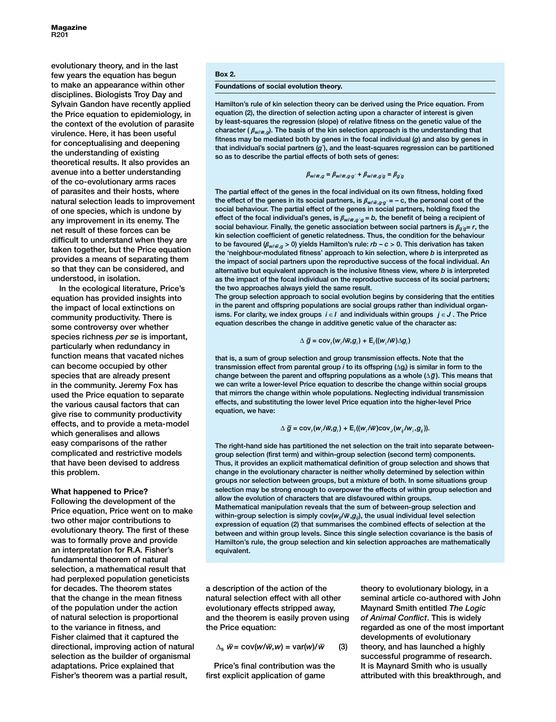<span id="page-3-0"></span>evolutionary theory, and in the last few years the equation has begun to make an appearance within other disciplines. Biologists Troy Day and Sylvain Gandon have recently applied the Price equation to epidemiology, in the context of the evolution of parasite virulence. Here, it has been useful for conceptualising and deepening the understanding of existing theoretical results. It also provides an avenue into a better understanding of the co-evolutionary arms races of parasites and their hosts, where natural selection leads to improvement of one species, which is undone by any improvement in its enemy. The net result of these forces can be difficult to understand when they are taken together, but the Price equation provides a means of separating them so that they can be considered, and understood, in isolation.

In the ecological literature, Price's equation has provided insights into the impact of local extinctions on community productivity. There is some controversy over whether species richness *per se* is important, particularly when redundancy in function means that vacated niches can become occupied by other species that are already present in the community. Jeremy Fox has used the Price equation to separate the various causal factors that can give rise to community productivity effects, and to provide a meta-model which generalises and allows easy comparisons of the rather complicated and restrictive models that have been devised to address this problem.

## **What happened to Price?**

Following the development of the Price equation, Price went on to make two other major contributions to evolutionary theory. The first of these was to formally prove and provide an interpretation for R.A. Fisher's fundamental theorem of natural selection, a mathematical result that had perplexed population geneticists for decades. The theorem states that the change in the mean fitness of the population under the action of natural selection is proportional to the variance in fitness, and Fisher claimed that it captured the directional, improving action of natural selection as the builder of organismal adaptations. Price explained that Fisher's theorem was a partial result,

#### **Box 2.**

#### **Foundations of social evolution theory.**

Hamilton's rule of kin selection theory can be derived using the Price equation. From equation (2), the direction of selection acting upon a character of interest is given by least-squares the regression (slope) of relative fitness on the genetic value of the character ( *βw/w,g*). The basis of the kin selection approach is the understanding that fitness may be mediated both by genes in the focal individual (*g*) and also by genes in that individual's social partners (*g*´), and the least-squares regression can be partitioned so as to describe the partial effects of both sets of genes:

$$
\beta_{w/\bar{w},g} = \beta_{w/\bar{w},g\cdot g'} + \beta_{w/\bar{w},g'g} = \beta_{g'g}
$$

The partial effect of the genes in the focal individual on its own fitness, holding fixed the effect of the genes in its social partners, is  $β_{w/\bar{w},g'g'} = - c$ , the personal cost of the social behaviour. The partial effect of the genes in social partners, holding fixed the effect of the focal individual's genes, is  $β_{w/w,g'g} = b$ , the benefit of being a recipient of social behaviour. Finally, the genetic association between social partners is *βg´g*= *r*, the kin selection coefficient of genetic relatedness. Thus, the condition for the behaviour to be favoured (*βw/w,g* > 0) yields Hamilton's rule: *rb* – *c* > 0. This derivation has taken the 'neighbour-modulated fitness' approach to kin selection, where *b* is interpreted as the impact of social partners upon the reproductive success of the focal individual. An alternative but equivalent approach is the inclusive fitness view, where *b* is interpreted as the impact of the focal individual on the reproductive success of its social partners; the two approaches always yield the same result.

The group selection approach to social evolution begins by considering that the entities in the parent and offspring populations are social groups rather than individual organisms. For clarity, we index groups  $i \in I$  and individuals within groups  $j \in J$ . The Price equation describes the change in additive genetic value of the character as:

$$
\Delta \bar{g} = \text{cov}_{i}(w_{i}/\bar{w}, g_{i}) + \text{E}_{i}((w_{i}/\bar{w})\Delta g_{i})
$$

that is, a sum of group selection and group transmission effects. Note that the transmission effect from parental group *i* to its offspring (∆gi ) is similar in form to the change between the parent and offspring populations as a whole (∆*g*). This means that we can write a lower-level Price equation to describe the change within social groups that mirrors the change within whole populations. Neglecting individual transmission effects, and substituting the lower level Price equation into the higher-level Price equation, we have:

 $\Delta \bar{g} = \text{cov}_i(w_i/\bar{w}_i, g_i) + \text{E}_i((w_i/\bar{w})\text{cov}_i(w_i/w_i, g_i)).$ 

The right-hand side has partitioned the net selection on the trait into separate betweengroup selection (first term) and within-group selection (second term) components. Thus, it provides an explicit mathematical definition of group selection and shows that change in the evolutionary character is neither wholly determined by selection within groups nor selection between groups, but a mixture of both. In some situations group selection may be strong enough to overpower the effects of within group selection and allow the evolution of characters that are disfavoured within groups. Mathematical manipulation reveals that the sum of between-group selection and within-group selection is simply cov( $w_{ij}/\bar{w}$ , $g_{ij}$ ), the usual individual level selection expression of equation (2) that summarises the combined effects of selection at the between and within group levels. Since this single selection covariance is the basis of Hamilton's rule, the group selection and kin selection approaches are mathematically equivalent.

a description of the action of the natural selection effect with all other evolutionary effects stripped away, and the theorem is easily proven using the Price equation:

$$
\Delta_{\rm s} \ \overline{w} = \mathrm{cov}(w/\overline{w}, w) = \mathrm{var}(w)/\overline{w} \qquad (3)
$$

Price's final contribution was the first explicit application of game

theory to evolutionary biology, in a seminal article co-authored with John Maynard Smith entitled *The Logic of Animal Conflict*. This is widely regarded as one of the most important developments of evolutionary theory, and has launched a highly successful programme of research. It is Maynard Smith who is usually attributed with this breakthrough, and